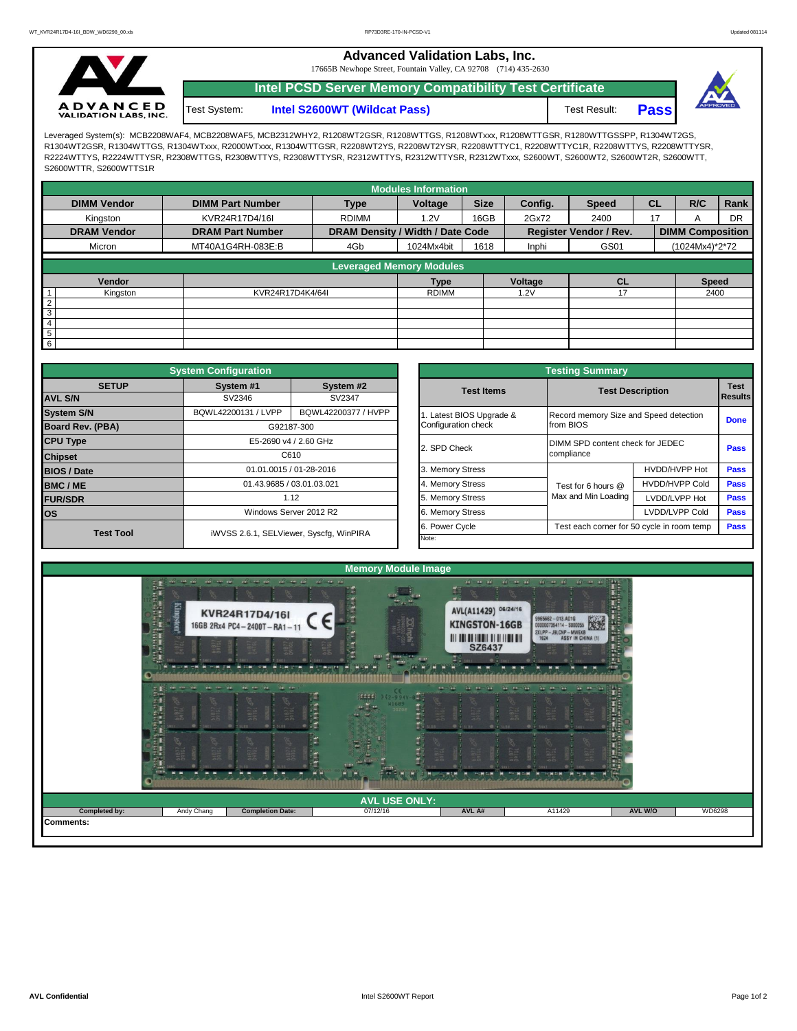**Advanced Validation Labs, Inc.** 

17665B Newhope Street, Fountain Valley, CA 92708 (714) 435-2630



**Intel S2600WT (Wildcat Pass)** Test Result: **Pass Intel PCSD Server Memory Compatibility Test Certificate** Test System:



Leveraged System(s): MCB2208WAF4, MCB2208WAF5, MCB2312WHY2, R1208WT2GSR, R1208WTTGS, R1208WTxxx, R1208WTTGSR, R1280WTTGSSPP, R1304WT2GS, R1304WT2GSR, R1304WTTGS, R1304WTxxx, R2000WTxxx, R1304WTTGSR, R2208WT2YS, R2208WT2YSR, R2208WTTYC1, R2208WTTYC1R, R2208WTTYS, R2208WTTYSR, R2224WTTYS, R2224WTTYSR, R2308WTTGS, R2308WTTYS, R2308WTTYSR, R2312WTTYS, R2312WTTYSR, R2312WTxxx, S2600WT, S2600WT2, S2600WT2R, S2600WTT, S2600WTTR, S2600WTTS1R

|                                 |                         |                                  | <b>Modules Information</b> |             |         |                               |           |                         |           |
|---------------------------------|-------------------------|----------------------------------|----------------------------|-------------|---------|-------------------------------|-----------|-------------------------|-----------|
| <b>DIMM Vendor</b>              | <b>DIMM Part Number</b> | <b>Type</b>                      | Voltage                    | <b>Size</b> | Config. | <b>Speed</b>                  | <b>CL</b> | R/C                     | Rank      |
| Kingston                        | KVR24R17D4/16I          | <b>RDIMM</b>                     | 1.2V                       | 16GB        | 2Gx72   | 2400                          | 17        |                         | <b>DR</b> |
| <b>DRAM Vendor</b>              | <b>DRAM Part Number</b> | DRAM Density / Width / Date Code |                            |             |         | <b>Register Vendor / Rev.</b> |           | <b>DIMM Composition</b> |           |
| Micron                          | MT40A1G4RH-083E:B       | 4Gb                              | 1024Mx4bit                 | 1618        | Inphi   | GS01                          |           | (1024Mx4)*2*72          |           |
|                                 |                         |                                  |                            |             |         |                               |           |                         |           |
| <b>Leveraged Memory Modules</b> |                         |                                  |                            |             |         |                               |           |                         |           |
| Vendor                          |                         |                                  | <b>Type</b>                |             | Voltage | <b>CL</b>                     |           | <b>Speed</b>            |           |
| Kingston                        | KVR24R17D4K4/64I        |                                  | <b>RDIMM</b>               |             | 1.2V    | 17                            |           | 2400                    |           |
| $\overline{2}$                  |                         |                                  |                            |             |         |                               |           |                         |           |
| 3                               |                         |                                  |                            |             |         |                               |           |                         |           |
| 4                               |                         |                                  |                            |             |         |                               |           |                         |           |
| $5\phantom{.0}$                 |                         |                                  |                            |             |         |                               |           |                         |           |
| $6\overline{6}$                 |                         |                                  |                            |             |         |                               |           |                         |           |

|                         | <b>System Configuration</b> |                                         |  | <b>Testing Summary</b>   |                                            |                                        |             |  |  |  |  |  |
|-------------------------|-----------------------------|-----------------------------------------|--|--------------------------|--------------------------------------------|----------------------------------------|-------------|--|--|--|--|--|
| <b>SETUP</b>            | System #1                   | System #2                               |  | <b>Test Items</b>        |                                            | <b>Test Description</b>                |             |  |  |  |  |  |
| <b>AVL S/N</b>          | SV2346                      | SV2347                                  |  |                          |                                            |                                        | Results     |  |  |  |  |  |
| <b>System S/N</b>       | BQWL42200131 / LVPP         | BQWL42200377 / HVPP                     |  | 1. Latest BIOS Upgrade & |                                            | Record memory Size and Speed detection |             |  |  |  |  |  |
| <b>Board Rev. (PBA)</b> |                             | G92187-300                              |  | Configuration check      | from BIOS                                  |                                        | <b>Done</b> |  |  |  |  |  |
| <b>CPU Type</b>         | E5-2690 v4 / 2.60 GHz       |                                         |  | 2. SPD Check             | DIMM SPD content check for JEDEC           |                                        |             |  |  |  |  |  |
| <b>Chipset</b>          | C610                        |                                         |  |                          | compliance                                 | <b>Pass</b>                            |             |  |  |  |  |  |
| <b>BIOS / Date</b>      |                             | 01.01.0015 / 01-28-2016                 |  | 3. Memory Stress         |                                            | HVDD/HVPP Hot                          | <b>Pass</b> |  |  |  |  |  |
| <b>BMC/ME</b>           |                             | 01.43.9685 / 03.01.03.021               |  | 4. Memory Stress         | Test for 6 hours @                         | <b>HVDD/HVPP Cold</b>                  | <b>Pass</b> |  |  |  |  |  |
| <b>FUR/SDR</b>          |                             | 1.12                                    |  | 5. Memory Stress         | Max and Min Loading                        | LVDD/LVPP Hot                          | Pass        |  |  |  |  |  |
| lOS.                    |                             | Windows Server 2012 R2                  |  | 6. Memory Stress         |                                            | LVDD/LVPP Cold                         | Pass        |  |  |  |  |  |
| <b>Test Tool</b>        |                             | iWVSS 2.6.1, SELViewer, Syscfg, WinPIRA |  | 6. Power Cycle           | Test each corner for 50 cycle in room temp | <b>Pass</b>                            |             |  |  |  |  |  |
|                         |                             |                                         |  | Note:                    |                                            |                                        |             |  |  |  |  |  |

|              | <b>System Configuration</b> |                                         |                       | <b>Testing Summary</b>                     |                                                |                                           |  |  |  |  |
|--------------|-----------------------------|-----------------------------------------|-----------------------|--------------------------------------------|------------------------------------------------|-------------------------------------------|--|--|--|--|
| <b>SETUP</b> | System #1                   | System #2                               | <b>Test Items</b>     |                                            | <b>Test</b>                                    |                                           |  |  |  |  |
|              | SV2346                      | SV2347                                  |                       |                                            | <b>Test Description</b>                        |                                           |  |  |  |  |
|              | BQWL42200131 / LVPP         | BQWL42200377 / HVPP                     | Latest BIOS Upgrade & |                                            | Record memory Size and Speed detection         |                                           |  |  |  |  |
| PBA)         |                             | G92187-300                              | Configuration check   | from BIOS                                  |                                                |                                           |  |  |  |  |
|              |                             | E5-2690 v4 / 2.60 GHz                   | 2. SPD Check          |                                            | DIMM SPD content check for JEDEC<br>compliance |                                           |  |  |  |  |
|              |                             | C610                                    |                       |                                            |                                                |                                           |  |  |  |  |
|              |                             | 01.01.0015 / 01-28-2016                 | 3. Memory Stress      |                                            | HVDD/HVPP Hot                                  | <b>Pass</b><br><b>Pass</b><br><b>Pass</b> |  |  |  |  |
|              |                             | 01.43.9685 / 03.01.03.021               | 4. Memory Stress      | Test for 6 hours @                         | <b>HVDD/HVPP Cold</b>                          |                                           |  |  |  |  |
|              |                             | 1.12                                    | 5. Memory Stress      | Max and Min Loading                        | LVDD/LVPP Hot                                  |                                           |  |  |  |  |
|              |                             | Windows Server 2012 R2                  | 6. Memory Stress      |                                            | LVDD/LVPP Cold                                 | <b>Pass</b>                               |  |  |  |  |
| est Tool     |                             |                                         | 6. Power Cycle        | Test each corner for 50 cycle in room temp | Pass                                           |                                           |  |  |  |  |
|              |                             | iWVSS 2.6.1, SELViewer, Syscfq, WinPIRA | Note:                 |                                            |                                                |                                           |  |  |  |  |